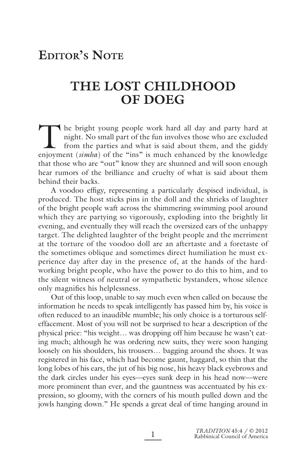# **EDITOR'S NOTE**

## **THE LOST CHILDHOOD OF DOEG**

The bright young people work hard all day and party hard at night. No small part of the fun involves those who are excluded from the parties and what is said about them, and the giddy enjoyment (*simha*) of the "ins" is mu night. No small part of the fun involves those who are excluded from the parties and what is said about them, and the giddy enjoyment (simha) of the "ins" is much enhanced by the knowledge that those who are "out" know they are shunned and will soon enough hear rumors of the brilliance and cruelty of what is said about them behind their backs.

A voodoo effigy, representing a particularly despised individual, is produced. The host sticks pins in the doll and the shrieks of laughter of the bright people waft across the shimmering swimming pool around which they are partying so vigorously, exploding into the brightly lit evening, and eventually they will reach the oversized ears of the unhappy target. The delighted laughter of the bright people and the merriment at the torture of the voodoo doll are an aftertaste and a foretaste of the sometimes oblique and sometimes direct humiliation he must experience day after day in the presence of, at the hands of the hardworking bright people, who have the power to do this to him, and to the silent witness of neutral or sympathetic bystanders, whose silence only magnifies his helplessness.

Out of this loop, unable to say much even when called on because the information he needs to speak intelligently has passed him by, his voice is often reduced to an inaudible mumble; his only choice is a torturous selfeffacement. Most of you will not be surprised to hear a description of the physical price: "his weight… was dropping off him because he wasn't eating much; although he was ordering new suits, they were soon hanging loosely on his shoulders, his trousers… bagging around the shoes. It was registered in his face, which had become gaunt, haggard, so thin that the long lobes of his ears, the jut of his big nose, his heavy black eyebrows and the dark circles under his eyes—eyes sunk deep in his head now—were more prominent than ever, and the gauntness was accentuated by his expression, so gloomy, with the corners of his mouth pulled down and the jowls hanging down." He spends a great deal of time hanging around in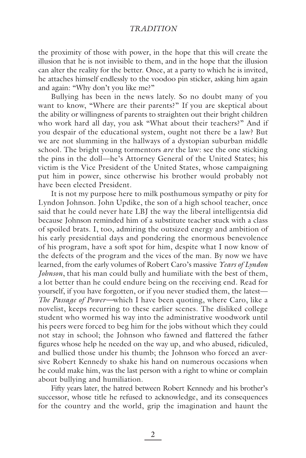## *TRADITION*

the proximity of those with power, in the hope that this will create the illusion that he is not invisible to them, and in the hope that the illusion can alter the reality for the better. Once, at a party to which he is invited, he attaches himself endlessly to the voodoo pin sticker, asking him again and again: "Why don't you like me?"

Bullying has been in the news lately. So no doubt many of you want to know, "Where are their parents?" If you are skeptical about the ability or willingness of parents to straighten out their bright children who work hard all day, you ask "What about their teachers?" And if you despair of the educational system, ought not there be a law? But we are not slumming in the hallways of a dystopian suburban middle school. The bright young tormentors *are* the law: see the one sticking the pins in the doll—he's Attorney General of the United States; his victim is the Vice President of the United States, whose campaigning put him in power, since otherwise his brother would probably not have been elected President.

It is not my purpose here to milk posthumous sympathy or pity for Lyndon Johnson. John Updike, the son of a high school teacher, once said that he could never hate LBJ the way the liberal intelligentsia did because Johnson reminded him of a substitute teacher stuck with a class of spoiled brats. I, too, admiring the outsized energy and ambition of his early presidential days and pondering the enormous benevolence of his program, have a soft spot for him, despite what I now know of the defects of the program and the vices of the man. By now we have learned, from the early volumes of Robert Caro's massive *Years of Lyndon Johnson*, that his man could bully and humiliate with the best of them, a lot better than he could endure being on the receiving end. Read for yourself, if you have forgotten, or if you never studied them, the latest— *The Passage of Power—*which I have been quoting, where Caro, like a novelist, keeps recurring to these earlier scenes. The disliked college student who wormed his way into the administrative woodwork until his peers were forced to beg him for the jobs without which they could not stay in school; the Johnson who fawned and flattered the father figures whose help he needed on the way up, and who abused, ridiculed, and bullied those under his thumb; the Johnson who forced an aversive Robert Kennedy to shake his hand on numerous occasions when he could make him, was the last person with a right to whine or complain about bullying and humiliation.

Fifty years later, the hatred between Robert Kennedy and his brother's successor, whose title he refused to acknowledge, and its consequences for the country and the world, grip the imagination and haunt the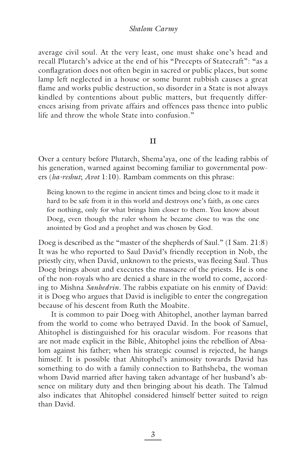#### *Shalom Carmy*

average civil soul. At the very least, one must shake one's head and recall Plutarch's advice at the end of his "Precepts of Statecraft": "as a conflagration does not often begin in sacred or public places, but some lamp left neglected in a house or some burnt rubbish causes a great flame and works public destruction, so disorder in a State is not always kindled by contentions about public matters, but frequently differences arising from private affairs and offences pass thence into public life and throw the whole State into confusion."

#### **II**

Over a century before Plutarch, Shema'aya, one of the leading rabbis of his generation, warned against becoming familiar to governmental powers (*ha-reshut*; *Avot* 1:10). Rambam comments on this phrase:

Being known to the regime in ancient times and being close to it made it hard to be safe from it in this world and destroys one's faith, as one cares for nothing, only for what brings him closer to them. You know about Doeg, even though the ruler whom he became close to was the one anointed by God and a prophet and was chosen by God.

Doeg is described as the "master of the shepherds of Saul." (I Sam. 21:8) It was he who reported to Saul David's friendly reception in Nob, the priestly city, when David, unknown to the priests, was fleeing Saul. Thus Doeg brings about and executes the massacre of the priests. He is one of the non-royals who are denied a share in the world to come, according to Mishna *Sanhedrin.* The rabbis expatiate on his enmity of David: it is Doeg who argues that David is ineligible to enter the congregation because of his descent from Ruth the Moabite.

It is common to pair Doeg with Ahitophel, another layman barred from the world to come who betrayed David. In the book of Samuel, Ahitophel is distinguished for his oracular wisdom. For reasons that are not made explicit in the Bible, Ahitophel joins the rebellion of Absalom against his father; when his strategic counsel is rejected, he hangs himself. It is possible that Ahitophel's animosity towards David has something to do with a family connection to Bathsheba, the woman whom David married after having taken advantage of her husband's absence on military duty and then bringing about his death. The Talmud also indicates that Ahitophel considered himself better suited to reign than David.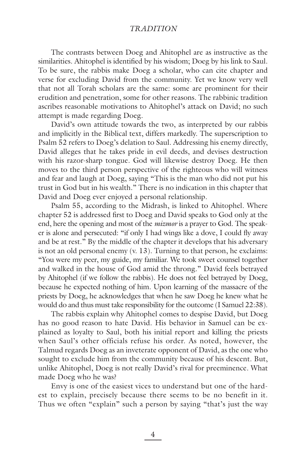## *TRADITION*

The contrasts between Doeg and Ahitophel are as instructive as the similarities. Ahitophel is identified by his wisdom; Doeg by his link to Saul. To be sure, the rabbis make Doeg a scholar, who can cite chapter and verse for excluding David from the community. Yet we know very well that not all Torah scholars are the same: some are prominent for their erudition and penetration, some for other reasons. The rabbinic tradition ascribes reasonable motivations to Ahitophel's attack on David; no such attempt is made regarding Doeg.

David's own attitude towards the two, as interpreted by our rabbis and implicitly in the Biblical text, differs markedly. The superscription to Psalm 52 refers to Doeg's delation to Saul. Addressing his enemy directly, David alleges that he takes pride in evil deeds, and devises destruction with his razor-sharp tongue. God will likewise destroy Doeg. He then moves to the third person perspective of the righteous who will witness and fear and laugh at Doeg, saying "This is the man who did not put his trust in God but in his wealth." There is no indication in this chapter that David and Doeg ever enjoyed a personal relationship.

Psalm 55, according to the Midrash, is linked to Ahitophel. Where chapter 52 is addressed first to Doeg and David speaks to God only at the end, here the opening and most of the *mizmor* is a prayer to God. The speaker is alone and persecuted: "if only I had wings like a dove, I could fly away and be at rest." By the middle of the chapter it develops that his adversary is not an old personal enemy (v. 13). Turning to that person, he exclaims: "You were my peer, my guide, my familiar. We took sweet counsel together and walked in the house of God amid the throng." David feels betrayed by Ahitophel (if we follow the rabbis). He does not feel betrayed by Doeg, because he expected nothing of him. Upon learning of the massacre of the priests by Doeg, he acknowledges that when he saw Doeg he knew what he would do and thus must take responsibility for the outcome (I Samuel 22:38).

The rabbis explain why Ahitophel comes to despise David, but Doeg has no good reason to hate David. His behavior in Samuel can be explained as loyalty to Saul, both his initial report and killing the priests when Saul's other officials refuse his order. As noted, however, the Talmud regards Doeg as an inveterate opponent of David, as the one who sought to exclude him from the community because of his descent. But, unlike Ahitophel, Doeg is not really David's rival for preeminence. What made Doeg who he was?

Envy is one of the easiest vices to understand but one of the hardest to explain, precisely because there seems to be no benefit in it. Thus we often "explain" such a person by saying "that's just the way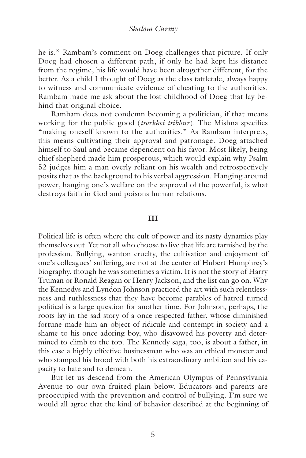he is." Rambam's comment on Doeg challenges that picture. If only Doeg had chosen a different path, if only he had kept his distance from the regime, his life would have been altogether different, for the better. As a child I thought of Doeg as the class tattletale, always happy to witness and communicate evidence of cheating to the authorities. Rambam made me ask about the lost childhood of Doeg that lay behind that original choice.

Rambam does not condemn becoming a politician, if that means working for the public good (*tsorkhei tsibbur*). The Mishna specifies "making oneself known to the authorities." As Rambam interprets, this means cultivating their approval and patronage. Doeg attached himself to Saul and became dependent on his favor. Most likely, being chief shepherd made him prosperous, which would explain why Psalm 52 judges him a man overly reliant on his wealth and retrospectively posits that as the background to his verbal aggression. Hanging around power, hanging one's welfare on the approval of the powerful, is what destroys faith in God and poisons human relations.

### **III**

Political life is often where the cult of power and its nasty dynamics play themselves out. Yet not all who choose to live that life are tarnished by the profession. Bullying, wanton cruelty, the cultivation and enjoyment of one's colleagues' suffering, are not at the center of Hubert Humphrey's biography, though he was sometimes a victim. It is not the story of Harry Truman or Ronald Reagan or Henry Jackson, and the list can go on. Why the Kennedys and Lyndon Johnson practiced the art with such relentlessness and ruthlessness that they have become parables of hatred turned political is a large question for another time. For Johnson, perhaps, the roots lay in the sad story of a once respected father, whose diminished fortune made him an object of ridicule and contempt in society and a shame to his once adoring boy, who disavowed his poverty and determined to climb to the top. The Kennedy saga, too, is about a father, in this case a highly effective businessman who was an ethical monster and who stamped his brood with both his extraordinary ambition and his capacity to hate and to demean.

But let us descend from the American Olympus of Pennsylvania Avenue to our own fruited plain below. Educators and parents are preoccupied with the prevention and control of bullying. I'm sure we would all agree that the kind of behavior described at the beginning of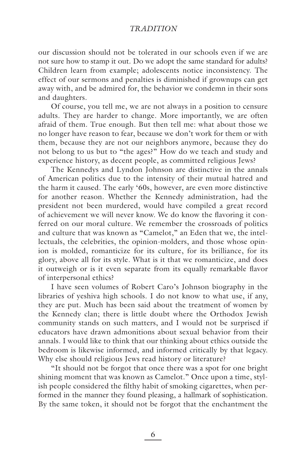## *TRADITION*

our discussion should not be tolerated in our schools even if we are not sure how to stamp it out. Do we adopt the same standard for adults? Children learn from example; adolescents notice inconsistency. The effect of our sermons and penalties is diminished if grownups can get away with, and be admired for, the behavior we condemn in their sons and daughters.

Of course, you tell me, we are not always in a position to censure adults. They are harder to change. More importantly, we are often afraid of them. True enough. But then tell me: what about those we no longer have reason to fear, because we don't work for them or with them, because they are not our neighbors anymore, because they do not belong to us but to "the ages?" How do we teach and study and experience history, as decent people, as committed religious Jews?

The Kennedys and Lyndon Johnson are distinctive in the annals of American politics due to the intensity of their mutual hatred and the harm it caused. The early '60s, however, are even more distinctive for another reason. Whether the Kennedy administration, had the president not been murdered, would have compiled a great record of achievement we will never know. We do know the flavoring it conferred on our moral culture. We remember the crossroads of politics and culture that was known as "Camelot," an Eden that we, the intellectuals, the celebrities, the opinion-molders, and those whose opinion is molded, romanticize for its culture, for its brilliance, for its glory, above all for its style. What is it that we romanticize, and does it outweigh or is it even separate from its equally remarkable flavor of interpersonal ethics?

I have seen volumes of Robert Caro's Johnson biography in the libraries of yeshiva high schools. I do not know to what use, if any, they are put. Much has been said about the treatment of women by the Kennedy clan; there is little doubt where the Orthodox Jewish community stands on such matters, and I would not be surprised if educators have drawn admonitions about sexual behavior from their annals. I would like to think that our thinking about ethics outside the bedroom is likewise informed, and informed critically by that legacy. Why else should religious Jews read history or literature?

"It should not be forgot that once there was a spot for one bright shining moment that was known as Camelot." Once upon a time, stylish people considered the filthy habit of smoking cigarettes, when performed in the manner they found pleasing, a hallmark of sophistication. By the same token, it should not be forgot that the enchantment the